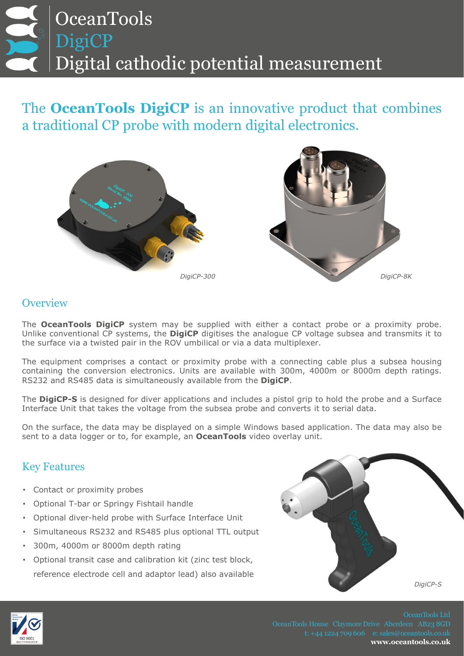## **OceanTools** DigiCP Digital cathodic potential measurement

The **OceanTools DigiCP** is an innovative product that combines a traditional CP probe with modern digital electronics.





## **Overview**

The **OceanTools DigiCP** system may be supplied with either a contact probe or a proximity probe. Unlike conventional CP systems, the **DigiCP** digitises the analogue CP voltage subsea and transmits it to the surface via a twisted pair in the ROV umbilical or via a data multiplexer.

The equipment comprises a contact or proximity probe with a connecting cable plus a subsea housing containing the conversion electronics. Units are available with 300m, 4000m or 8000m depth ratings. RS232 and RS485 data is simultaneously available from the **DigiCP**.

The **DigiCP-S** is designed for diver applications and includes a pistol grip to hold the probe and a Surface Interface Unit that takes the voltage from the subsea probe and converts it to serial data.

On the surface, the data may be displayed on a simple Windows based application. The data may also be sent to a data logger or to, for example, an **OceanTools** video overlay unit.

## Key Features

- Contact or proximity probes
- Optional T-bar or Springy Fishtail handle
- Optional diver-held probe with Surface Interface Unit
- Simultaneous RS232 and RS485 plus optional TTL output
- 300m, 4000m or 8000m depth rating
- Optional transit case and calibration kit (zinc test block, reference electrode cell and adaptor lead) also available





**www.oceantools.co.uk**